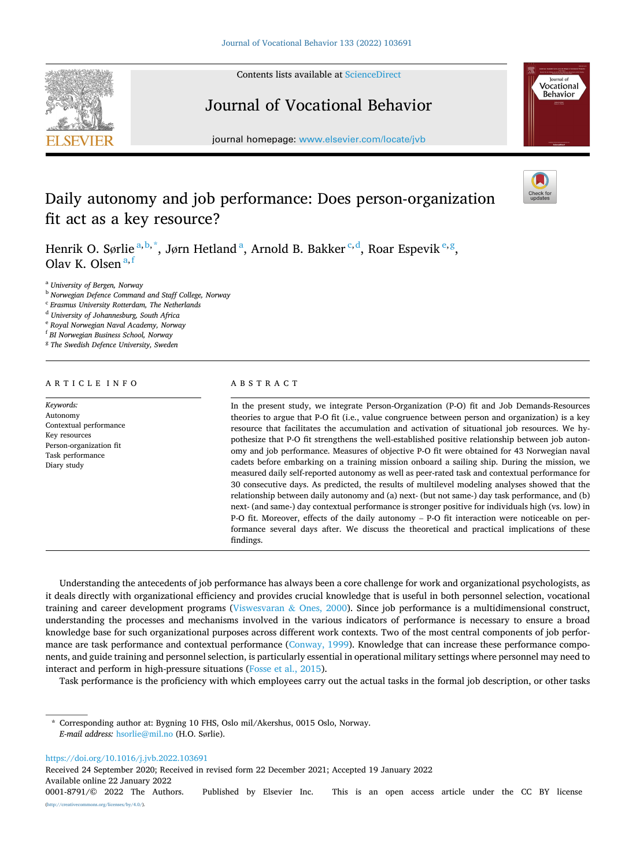Contents lists available at [ScienceDirect](www.sciencedirect.com/science/journal/00018791)



# Journal of Vocational Behavior



journal homepage: [www.elsevier.com/locate/jvb](https://www.elsevier.com/locate/jvb)

# Daily autonomy and job performance: Does person-organization fit act as a key resource?

Henrik O. Sørlie<sup>a, b,\*</sup>, Jørn Hetland<sup>a</sup>, Arnold B. Bakker<sup>c, d</sup>, Roar Espevik<sup>e, g</sup>, Olav K. Olsen  $a,f$ 

<sup>a</sup> *University of Bergen, Norway* 

<sup>b</sup> *Norwegian Defence Command and Staff College, Norway* 

<sup>c</sup> *Erasmus University Rotterdam, The Netherlands* 

<sup>d</sup> *University of Johannesburg, South Africa* 

<sup>e</sup> *Royal Norwegian Naval Academy, Norway* 

<sup>f</sup> *BI Norwegian Business School, Norway* 

<sup>g</sup> *The Swedish Defence University, Sweden* 

# ARTICLE INFO

*Keywords:*  Autonomy Contextual performance Key resources Person-organization fit Task performance Diary study

# ABSTRACT

In the present study, we integrate Person-Organization (P-O) fit and Job Demands-Resources theories to argue that P-O fit (i.e., value congruence between person and organization) is a key resource that facilitates the accumulation and activation of situational job resources. We hypothesize that P-O fit strengthens the well-established positive relationship between job autonomy and job performance. Measures of objective P-O fit were obtained for 43 Norwegian naval cadets before embarking on a training mission onboard a sailing ship. During the mission, we measured daily self-reported autonomy as well as peer-rated task and contextual performance for 30 consecutive days. As predicted, the results of multilevel modeling analyses showed that the relationship between daily autonomy and (a) next- (but not same-) day task performance, and (b) next- (and same-) day contextual performance is stronger positive for individuals high (vs. low) in P-O fit. Moreover, effects of the daily autonomy – P-O fit interaction were noticeable on performance several days after. We discuss the theoretical and practical implications of these findings.

Understanding the antecedents of job performance has always been a core challenge for work and organizational psychologists, as it deals directly with organizational efficiency and provides crucial knowledge that is useful in both personnel selection, vocational training and career development programs ([Viswesvaran](#page-14-0) & Ones, 2000). Since job performance is a multidimensional construct, understanding the processes and mechanisms involved in the various indicators of performance is necessary to ensure a broad knowledge base for such organizational purposes across different work contexts. Two of the most central components of job perfor-mance are task performance and contextual performance [\(Conway, 1999\)](#page-13-0). Knowledge that can increase these performance components, and guide training and personnel selection, is particularly essential in operational military settings where personnel may need to interact and perform in high-pressure situations ([Fosse et al., 2015](#page-13-0)).

Task performance is the proficiency with which employees carry out the actual tasks in the formal job description, or other tasks

Corresponding author at: Bygning 10 FHS, Oslo mil/Akershus, 0015 Oslo, Norway. *E-mail address:* [hsorlie@mil.no](mailto:hsorlie@mil.no) (H.O. Sørlie).

<https://doi.org/10.1016/j.jvb.2022.103691>

Received 24 September 2020; Received in revised form 22 December 2021; Accepted 19 January 2022

Available online 22 January 2022



<sup>0001-8791/© 2022</sup> The Authors. Published by Elsevier Inc. This is an open access article under the CC BY license [\(http://creativecommons.org/licenses/by/4.0/\)](http://creativecommons.org/licenses/by/4.0/).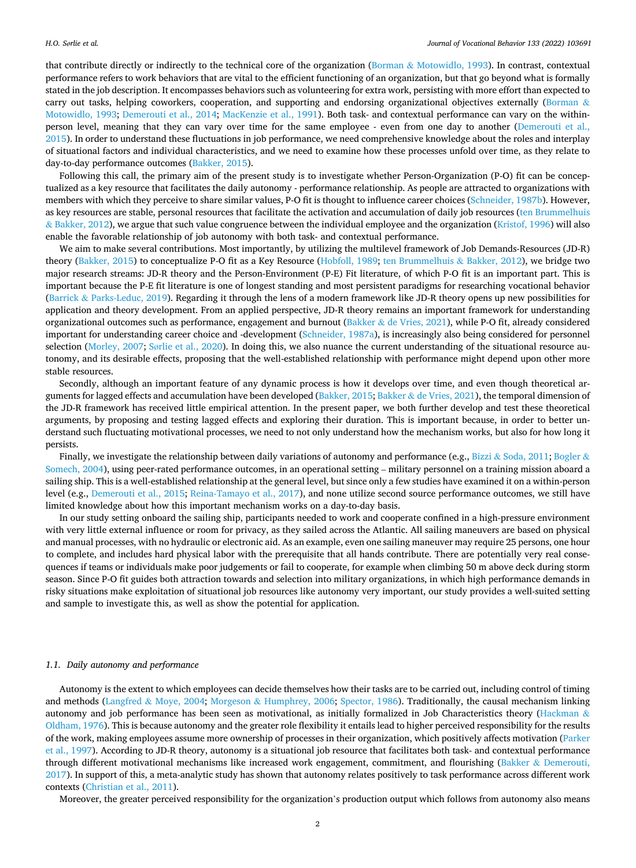that contribute directly or indirectly to the technical core of the organization (Borman & [Motowidlo, 1993\)](#page-12-0). In contrast, contextual performance refers to work behaviors that are vital to the efficient functioning of an organization, but that go beyond what is formally stated in the job description. It encompasses behaviors such as volunteering for extra work, persisting with more effort than expected to carry out tasks, helping coworkers, cooperation, and supporting and endorsing organizational objectives externally ([Borman](#page-12-0) & [Motowidlo, 1993](#page-12-0); [Demerouti et al., 2014;](#page-13-0) [MacKenzie et al., 1991](#page-13-0)). Both task- and contextual performance can vary on the withinperson level, meaning that they can vary over time for the same employee - even from one day to another [\(Demerouti et al.,](#page-13-0) [2015\)](#page-13-0). In order to understand these fluctuations in job performance, we need comprehensive knowledge about the roles and interplay of situational factors and individual characteristics, and we need to examine how these processes unfold over time, as they relate to day-to-day performance outcomes ([Bakker, 2015\)](#page-12-0).

Following this call, the primary aim of the present study is to investigate whether Person-Organization (P-O) fit can be conceptualized as a key resource that facilitates the daily autonomy - performance relationship. As people are attracted to organizations with members with which they perceive to share similar values, P-O fit is thought to influence career choices [\(Schneider, 1987b](#page-14-0)). However, as key resources are stable, personal resources that facilitate the activation and accumulation of daily job resources [\(ten Brummelhuis](#page-14-0) & [Bakker, 2012](#page-14-0)), we argue that such value congruence between the individual employee and the organization ([Kristof, 1996](#page-13-0)) will also enable the favorable relationship of job autonomy with both task- and contextual performance.

We aim to make several contributions. Most importantly, by utilizing the multilevel framework of Job Demands-Resources (JD-R) theory [\(Bakker, 2015](#page-12-0)) to conceptualize P-O fit as a Key Resource ([Hobfoll, 1989](#page-13-0); [ten Brummelhuis](#page-14-0) & Bakker, 2012), we bridge two major research streams: JD-R theory and the Person-Environment (P-E) Fit literature, of which P-O fit is an important part. This is important because the P-E fit literature is one of longest standing and most persistent paradigms for researching vocational behavior (Barrick & [Parks-Leduc, 2019](#page-12-0)). Regarding it through the lens of a modern framework like JD-R theory opens up new possibilities for application and theory development. From an applied perspective, JD-R theory remains an important framework for understanding organizational outcomes such as performance, engagement and burnout (Bakker & [de Vries, 2021\)](#page-12-0), while P-O fit, already considered important for understanding career choice and -development [\(Schneider, 1987a](#page-14-0)), is increasingly also being considered for personnel selection ([Morley, 2007](#page-14-0); Sø[rlie et al., 2020](#page-14-0)). In doing this, we also nuance the current understanding of the situational resource autonomy, and its desirable effects, proposing that the well-established relationship with performance might depend upon other more stable resources.

Secondly, although an important feature of any dynamic process is how it develops over time, and even though theoretical arguments for lagged effects and accumulation have been developed [\(Bakker, 2015](#page-12-0); Bakker & [de Vries, 2021\)](#page-12-0), the temporal dimension of the JD-R framework has received little empirical attention. In the present paper, we both further develop and test these theoretical arguments, by proposing and testing lagged effects and exploring their duration. This is important because, in order to better understand such fluctuating motivational processes, we need to not only understand how the mechanism works, but also for how long it persists.

Finally, we investigate the relationship between daily variations of autonomy and performance (e.g., Bizzi & [Soda, 2011](#page-12-0); [Bogler](#page-12-0) & [Somech, 2004\)](#page-12-0), using peer-rated performance outcomes, in an operational setting – military personnel on a training mission aboard a sailing ship. This is a well-established relationship at the general level, but since only a few studies have examined it on a within-person level (e.g., [Demerouti et al., 2015](#page-13-0); [Reina-Tamayo et al., 2017](#page-14-0)), and none utilize second source performance outcomes, we still have limited knowledge about how this important mechanism works on a day-to-day basis.

In our study setting onboard the sailing ship, participants needed to work and cooperate confined in a high-pressure environment with very little external influence or room for privacy, as they sailed across the Atlantic. All sailing maneuvers are based on physical and manual processes, with no hydraulic or electronic aid. As an example, even one sailing maneuver may require 25 persons, one hour to complete, and includes hard physical labor with the prerequisite that all hands contribute. There are potentially very real consequences if teams or individuals make poor judgements or fail to cooperate, for example when climbing 50 m above deck during storm season. Since P-O fit guides both attraction towards and selection into military organizations, in which high performance demands in risky situations make exploitation of situational job resources like autonomy very important, our study provides a well-suited setting and sample to investigate this, as well as show the potential for application.

## *1.1. Daily autonomy and performance*

Autonomy is the extent to which employees can decide themselves how their tasks are to be carried out, including control of timing and methods (Langfred & [Moye, 2004](#page-13-0); Morgeson & [Humphrey, 2006;](#page-13-0) [Spector, 1986\)](#page-14-0). Traditionally, the causal mechanism linking autonomy and job performance has been seen as motivational, as initially formalized in Job Characteristics theory ([Hackman](#page-13-0)  $\&$ [Oldham, 1976\)](#page-13-0). This is because autonomy and the greater role flexibility it entails lead to higher perceived responsibility for the results of the work, making employees assume more ownership of processes in their organization, which positively affects motivation [\(Parker](#page-14-0) [et al., 1997\)](#page-14-0). According to JD-R theory, autonomy is a situational job resource that facilitates both task- and contextual performance through different motivational mechanisms like increased work engagement, commitment, and flourishing (Bakker & [Demerouti,](#page-12-0) [2017\)](#page-12-0). In support of this, a meta-analytic study has shown that autonomy relates positively to task performance across different work contexts ([Christian et al., 2011](#page-13-0)).

Moreover, the greater perceived responsibility for the organization's production output which follows from autonomy also means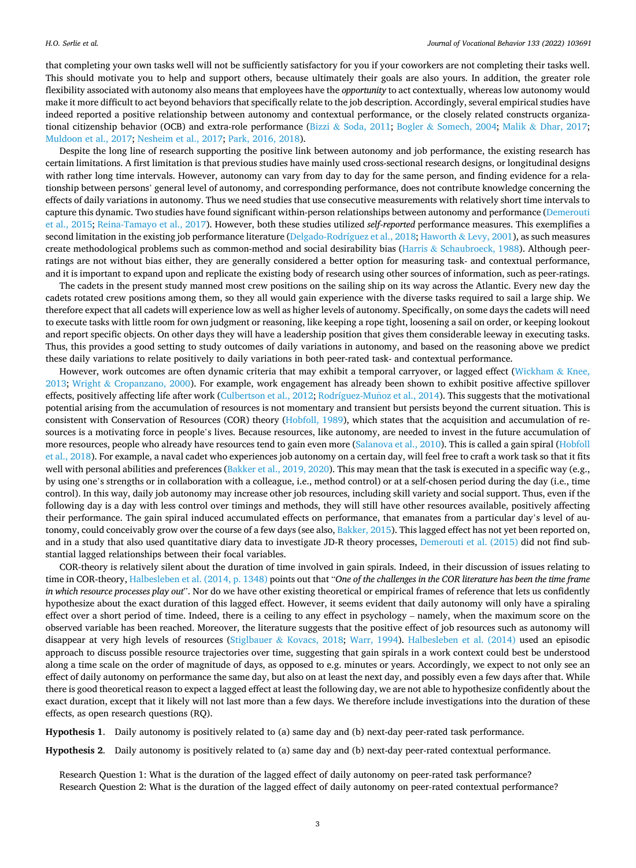<span id="page-2-0"></span>that completing your own tasks well will not be sufficiently satisfactory for you if your coworkers are not completing their tasks well. This should motivate you to help and support others, because ultimately their goals are also yours. In addition, the greater role flexibility associated with autonomy also means that employees have the *opportunity* to act contextually, whereas low autonomy would make it more difficult to act beyond behaviors that specifically relate to the job description. Accordingly, several empirical studies have indeed reported a positive relationship between autonomy and contextual performance, or the closely related constructs organiza-tional citizenship behavior (OCB) and extra-role performance (Bizzi & [Soda, 2011;](#page-12-0) Bogler & [Somech, 2004](#page-12-0); Malik & [Dhar, 2017](#page-13-0); [Muldoon et al., 2017](#page-14-0); [Nesheim et al., 2017;](#page-14-0) [Park, 2016, 2018\)](#page-14-0).

Despite the long line of research supporting the positive link between autonomy and job performance, the existing research has certain limitations. A first limitation is that previous studies have mainly used cross-sectional research designs, or longitudinal designs with rather long time intervals. However, autonomy can vary from day to day for the same person, and finding evidence for a relationship between persons' general level of autonomy, and corresponding performance, does not contribute knowledge concerning the effects of daily variations in autonomy. Thus we need studies that use consecutive measurements with relatively short time intervals to capture this dynamic. Two studies have found significant within-person relationships between autonomy and performance ([Demerouti](#page-13-0) [et al., 2015](#page-13-0); [Reina-Tamayo et al., 2017\)](#page-14-0). However, both these studies utilized *self-reported* performance measures. This exemplifies a second limitation in the existing job performance literature [\(Delgado-Rodríguez et al., 2018](#page-13-0); Haworth & [Levy, 2001](#page-13-0)), as such measures create methodological problems such as common-method and social desirability bias (Harris & [Schaubroeck, 1988\)](#page-13-0). Although peerratings are not without bias either, they are generally considered a better option for measuring task- and contextual performance, and it is important to expand upon and replicate the existing body of research using other sources of information, such as peer-ratings.

The cadets in the present study manned most crew positions on the sailing ship on its way across the Atlantic. Every new day the cadets rotated crew positions among them, so they all would gain experience with the diverse tasks required to sail a large ship. We therefore expect that all cadets will experience low as well as higher levels of autonomy. Specifically, on some days the cadets will need to execute tasks with little room for own judgment or reasoning, like keeping a rope tight, loosening a sail on order, or keeping lookout and report specific objects. On other days they will have a leadership position that gives them considerable leeway in executing tasks. Thus, this provides a good setting to study outcomes of daily variations in autonomy, and based on the reasoning above we predict these daily variations to relate positively to daily variations in both peer-rated task- and contextual performance.

However, work outcomes are often dynamic criteria that may exhibit a temporal carryover, or lagged effect [\(Wickham](#page-14-0) & Knee, [2013;](#page-14-0) Wright & [Cropanzano, 2000](#page-14-0)). For example, work engagement has already been shown to exhibit positive affective spillover effects, positively affecting life after work [\(Culbertson et al., 2012](#page-13-0); Rodríguez-Muñoz et al., 2014). This suggests that the motivational potential arising from the accumulation of resources is not momentary and transient but persists beyond the current situation. This is consistent with Conservation of Resources (COR) theory ([Hobfoll, 1989\)](#page-13-0), which states that the acquisition and accumulation of resources is a motivating force in people's lives. Because resources, like autonomy, are needed to invest in the future accumulation of more resources, people who already have resources tend to gain even more ([Salanova et al., 2010](#page-14-0)). This is called a gain spiral ([Hobfoll](#page-13-0) [et al., 2018\)](#page-13-0). For example, a naval cadet who experiences job autonomy on a certain day, will feel free to craft a work task so that it fits well with personal abilities and preferences ([Bakker et al., 2019, 2020\)](#page-12-0). This may mean that the task is executed in a specific way (e.g., by using one's strengths or in collaboration with a colleague, i.e., method control) or at a self-chosen period during the day (i.e., time control). In this way, daily job autonomy may increase other job resources, including skill variety and social support. Thus, even if the following day is a day with less control over timings and methods, they will still have other resources available, positively affecting their performance. The gain spiral induced accumulated effects on performance, that emanates from a particular day's level of au-tonomy, could conceivably grow over the course of a few days (see also, [Bakker, 2015](#page-12-0)). This lagged effect has not yet been reported on, and in a study that also used quantitative diary data to investigate JD-R theory processes, [Demerouti et al. \(2015\)](#page-13-0) did not find substantial lagged relationships between their focal variables.

COR-theory is relatively silent about the duration of time involved in gain spirals. Indeed, in their discussion of issues relating to time in COR-theory, [Halbesleben et al. \(2014, p. 1348\)](#page-13-0) points out that "*One of the challenges in the COR literature has been the time frame in which resource processes play out*". Nor do we have other existing theoretical or empirical frames of reference that lets us confidently hypothesize about the exact duration of this lagged effect. However, it seems evident that daily autonomy will only have a spiraling effect over a short period of time. Indeed, there is a ceiling to any effect in psychology – namely, when the maximum score on the observed variable has been reached. Moreover, the literature suggests that the positive effect of job resources such as autonomy will disappear at very high levels of resources (Stiglbauer & [Kovacs, 2018](#page-14-0); [Warr, 1994\)](#page-14-0). [Halbesleben et al. \(2014\)](#page-13-0) used an episodic approach to discuss possible resource trajectories over time, suggesting that gain spirals in a work context could best be understood along a time scale on the order of magnitude of days, as opposed to e.g. minutes or years. Accordingly, we expect to not only see an effect of daily autonomy on performance the same day, but also on at least the next day, and possibly even a few days after that. While there is good theoretical reason to expect a lagged effect at least the following day, we are not able to hypothesize confidently about the exact duration, except that it likely will not last more than a few days. We therefore include investigations into the duration of these effects, as open research questions (RQ).

**Hypothesis 1**. Daily autonomy is positively related to (a) same day and (b) next-day peer-rated task performance.

**Hypothesis 2**. Daily autonomy is positively related to (a) same day and (b) next-day peer-rated contextual performance.

Research Question 1: What is the duration of the lagged effect of daily autonomy on peer-rated task performance? Research Question 2: What is the duration of the lagged effect of daily autonomy on peer-rated contextual performance?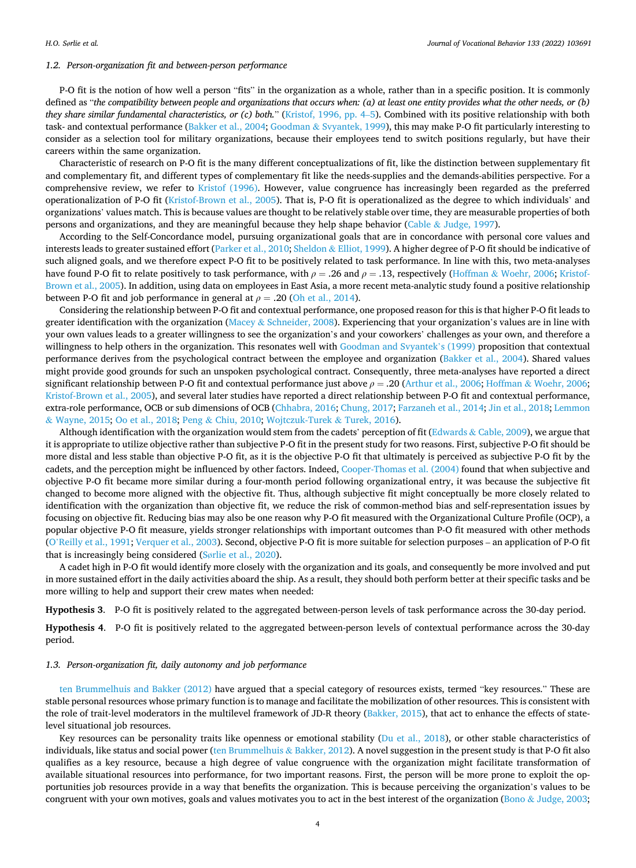### <span id="page-3-0"></span>*1.2. Person-organization fit and between-person performance*

P-O fit is the notion of how well a person "fits" in the organization as a whole, rather than in a specific position. It is commonly defined as "*the compatibility between people and organizations that occurs when: (a) at least one entity provides what the other needs, or (b) they share similar fundamental characteristics, or (c) both.*" [\(Kristof, 1996, pp. 4](#page-13-0)–5). Combined with its positive relationship with both task- and contextual performance [\(Bakker et al., 2004](#page-12-0); Goodman & [Svyantek, 1999](#page-13-0)), this may make P-O fit particularly interesting to consider as a selection tool for military organizations, because their employees tend to switch positions regularly, but have their careers within the same organization.

Characteristic of research on P-O fit is the many different conceptualizations of fit, like the distinction between supplementary fit and complementary fit, and different types of complementary fit like the needs-supplies and the demands-abilities perspective. For a comprehensive review, we refer to [Kristof \(1996\).](#page-13-0) However, value congruence has increasingly been regarded as the preferred operationalization of P-O fit [\(Kristof-Brown et al., 2005](#page-13-0)). That is, P-O fit is operationalized as the degree to which individuals' and organizations' values match. This is because values are thought to be relatively stable over time, they are measurable properties of both persons and organizations, and they are meaningful because they help shape behavior (Cable & [Judge, 1997\)](#page-12-0).

According to the Self-Concordance model, pursuing organizational goals that are in concordance with personal core values and interests leads to greater sustained effort [\(Parker et al., 2010;](#page-14-0) Sheldon & [Elliot, 1999](#page-14-0)). A higher degree of P-O fit should be indicative of such aligned goals, and we therefore expect P-O fit to be positively related to task performance. In line with this, two meta-analyses have found P-O fit to relate positively to task performance, with *ρ* = .26 and *ρ* = .13, respectively (Hoffman & [Woehr, 2006; Kristof-](#page-13-0)[Brown et al., 2005](#page-13-0)). In addition, using data on employees in East Asia, a more recent meta-analytic study found a positive relationship between P-O fit and job performance in general at  $\rho = .20$  ([Oh et al., 2014\)](#page-14-0).

Considering the relationship between P-O fit and contextual performance, one proposed reason for this is that higher P-O fit leads to greater identification with the organization (Macey & [Schneider, 2008](#page-13-0)). Experiencing that your organization's values are in line with your own values leads to a greater willingness to see the organization's and your coworkers' challenges as your own, and therefore a willingness to help others in the organization. This resonates well with [Goodman and Svyantek](#page-13-0)'s (1999) proposition that contextual performance derives from the psychological contract between the employee and organization ([Bakker et al., 2004\)](#page-12-0). Shared values might provide good grounds for such an unspoken psychological contract. Consequently, three meta-analyses have reported a direct significant relationship between P-O fit and contextual performance just above *ρ* = .20 [\(Arthur et al., 2006](#page-12-0); Hoffman & [Woehr, 2006](#page-13-0); [Kristof-Brown et al., 2005\)](#page-13-0), and several later studies have reported a direct relationship between P-O fit and contextual performance, extra-role performance, OCB or sub dimensions of OCB ([Chhabra, 2016;](#page-12-0) [Chung, 2017; Farzaneh et al., 2014](#page-13-0); [Jin et al., 2018; Lemmon](#page-13-0) & [Wayne, 2015](#page-13-0); [Oo et al., 2018;](#page-14-0) Peng & [Chiu, 2010; Wojtczuk-Turek](#page-14-0) & Turek, 2016).

Although identification with the organization would stem from the cadets' perception of fit (Edwards & [Cable, 2009](#page-13-0)), we argue that it is appropriate to utilize objective rather than subjective P-O fit in the present study for two reasons. First, subjective P-O fit should be more distal and less stable than objective P-O fit, as it is the objective P-O fit that ultimately is perceived as subjective P-O fit by the cadets, and the perception might be influenced by other factors. Indeed, [Cooper-Thomas et al. \(2004\)](#page-13-0) found that when subjective and objective P-O fit became more similar during a four-month period following organizational entry, it was because the subjective fit changed to become more aligned with the objective fit. Thus, although subjective fit might conceptually be more closely related to identification with the organization than objective fit, we reduce the risk of common-method bias and self-representation issues by focusing on objective fit. Reducing bias may also be one reason why P-O fit measured with the Organizational Culture Profile (OCP), a popular objective P-O fit measure, yields stronger relationships with important outcomes than P-O fit measured with other methods (O'[Reilly et al., 1991](#page-14-0); [Verquer et al., 2003\)](#page-14-0). Second, objective P-O fit is more suitable for selection purposes – an application of P-O fit that is increasingly being considered (Sø[rlie et al., 2020](#page-14-0)).

A cadet high in P-O fit would identify more closely with the organization and its goals, and consequently be more involved and put in more sustained effort in the daily activities aboard the ship. As a result, they should both perform better at their specific tasks and be more willing to help and support their crew mates when needed:

**Hypothesis 3**. P-O fit is positively related to the aggregated between-person levels of task performance across the 30-day period.

**Hypothesis 4**. P-O fit is positively related to the aggregated between-person levels of contextual performance across the 30-day period.

## *1.3. Person-organization fit, daily autonomy and job performance*

[ten Brummelhuis and Bakker \(2012\)](#page-14-0) have argued that a special category of resources exists, termed "key resources." These are stable personal resources whose primary function is to manage and facilitate the mobilization of other resources. This is consistent with the role of trait-level moderators in the multilevel framework of JD-R theory [\(Bakker, 2015](#page-12-0)), that act to enhance the effects of statelevel situational job resources.

Key resources can be personality traits like openness or emotional stability ([Du et al., 2018](#page-13-0)), or other stable characteristics of individuals, like status and social power ([ten Brummelhuis](#page-14-0) & Bakker, 2012). A novel suggestion in the present study is that P-O fit also qualifies as a key resource, because a high degree of value congruence with the organization might facilitate transformation of available situational resources into performance, for two important reasons. First, the person will be more prone to exploit the opportunities job resources provide in a way that benefits the organization. This is because perceiving the organization's values to be congruent with your own motives, goals and values motivates you to act in the best interest of the organization (Bono & [Judge, 2003](#page-12-0);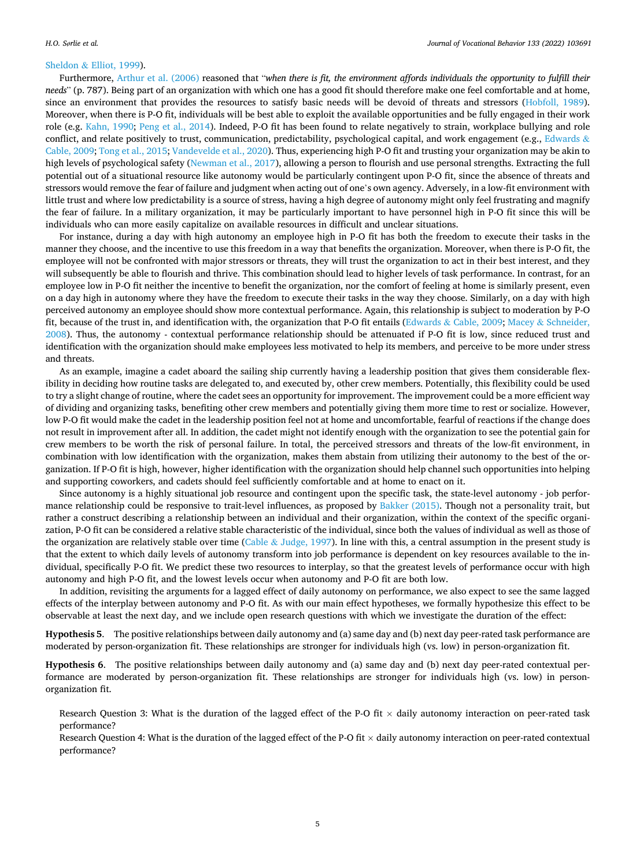#### <span id="page-4-0"></span>Sheldon & [Elliot, 1999\)](#page-14-0).

Furthermore, [Arthur et al. \(2006\)](#page-12-0) reasoned that "*when there is fit, the environment affords individuals the opportunity to fulfill their needs*" (p. 787). Being part of an organization with which one has a good fit should therefore make one feel comfortable and at home, since an environment that provides the resources to satisfy basic needs will be devoid of threats and stressors [\(Hobfoll, 1989](#page-13-0)). Moreover, when there is P-O fit, individuals will be best able to exploit the available opportunities and be fully engaged in their work role (e.g. [Kahn, 1990;](#page-13-0) [Peng et al., 2014\)](#page-14-0). Indeed, P-O fit has been found to relate negatively to strain, workplace bullying and role conflict, and relate positively to trust, communication, predictability, psychological capital, and work engagement (e.g., [Edwards](#page-13-0)  $\&$ [Cable, 2009;](#page-13-0) [Tong et al., 2015](#page-14-0); [Vandevelde et al., 2020](#page-14-0)). Thus, experiencing high P-O fit and trusting your organization may be akin to high levels of psychological safety [\(Newman et al., 2017\)](#page-14-0), allowing a person to flourish and use personal strengths. Extracting the full potential out of a situational resource like autonomy would be particularly contingent upon P-O fit, since the absence of threats and stressors would remove the fear of failure and judgment when acting out of one's own agency. Adversely, in a low-fit environment with little trust and where low predictability is a source of stress, having a high degree of autonomy might only feel frustrating and magnify the fear of failure. In a military organization, it may be particularly important to have personnel high in P-O fit since this will be individuals who can more easily capitalize on available resources in difficult and unclear situations.

For instance, during a day with high autonomy an employee high in P-O fit has both the freedom to execute their tasks in the manner they choose, and the incentive to use this freedom in a way that benefits the organization. Moreover, when there is P-O fit, the employee will not be confronted with major stressors or threats, they will trust the organization to act in their best interest, and they will subsequently be able to flourish and thrive. This combination should lead to higher levels of task performance. In contrast, for an employee low in P-O fit neither the incentive to benefit the organization, nor the comfort of feeling at home is similarly present, even on a day high in autonomy where they have the freedom to execute their tasks in the way they choose. Similarly, on a day with high perceived autonomy an employee should show more contextual performance. Again, this relationship is subject to moderation by P-O fit, because of the trust in, and identification with, the organization that P-O fit entails (Edwards & [Cable, 2009](#page-13-0); Macey & [Schneider,](#page-13-0) [2008\)](#page-13-0). Thus, the autonomy - contextual performance relationship should be attenuated if P-O fit is low, since reduced trust and identification with the organization should make employees less motivated to help its members, and perceive to be more under stress and threats.

As an example, imagine a cadet aboard the sailing ship currently having a leadership position that gives them considerable flexibility in deciding how routine tasks are delegated to, and executed by, other crew members. Potentially, this flexibility could be used to try a slight change of routine, where the cadet sees an opportunity for improvement. The improvement could be a more efficient way of dividing and organizing tasks, benefiting other crew members and potentially giving them more time to rest or socialize. However, low P-O fit would make the cadet in the leadership position feel not at home and uncomfortable, fearful of reactions if the change does not result in improvement after all. In addition, the cadet might not identify enough with the organization to see the potential gain for crew members to be worth the risk of personal failure. In total, the perceived stressors and threats of the low-fit environment, in combination with low identification with the organization, makes them abstain from utilizing their autonomy to the best of the organization. If P-O fit is high, however, higher identification with the organization should help channel such opportunities into helping and supporting coworkers, and cadets should feel sufficiently comfortable and at home to enact on it.

Since autonomy is a highly situational job resource and contingent upon the specific task, the state-level autonomy - job performance relationship could be responsive to trait-level influences, as proposed by [Bakker \(2015\)](#page-12-0). Though not a personality trait, but rather a construct describing a relationship between an individual and their organization, within the context of the specific organization, P-O fit can be considered a relative stable characteristic of the individual, since both the values of individual as well as those of the organization are relatively stable over time (Cable & [Judge, 1997\)](#page-12-0). In line with this, a central assumption in the present study is that the extent to which daily levels of autonomy transform into job performance is dependent on key resources available to the individual, specifically P-O fit. We predict these two resources to interplay, so that the greatest levels of performance occur with high autonomy and high P-O fit, and the lowest levels occur when autonomy and P-O fit are both low.

In addition, revisiting the arguments for a lagged effect of daily autonomy on performance, we also expect to see the same lagged effects of the interplay between autonomy and P-O fit. As with our main effect hypotheses, we formally hypothesize this effect to be observable at least the next day, and we include open research questions with which we investigate the duration of the effect:

**Hypothesis 5**. The positive relationships between daily autonomy and (a) same day and (b) next day peer-rated task performance are moderated by person-organization fit. These relationships are stronger for individuals high (vs. low) in person-organization fit.

**Hypothesis 6**. The positive relationships between daily autonomy and (a) same day and (b) next day peer-rated contextual performance are moderated by person-organization fit. These relationships are stronger for individuals high (vs. low) in personorganization fit.

Research Question 3: What is the duration of the lagged effect of the P-O fit  $\times$  daily autonomy interaction on peer-rated task performance?

Research Question 4: What is the duration of the lagged effect of the P-O fit  $\times$  daily autonomy interaction on peer-rated contextual performance?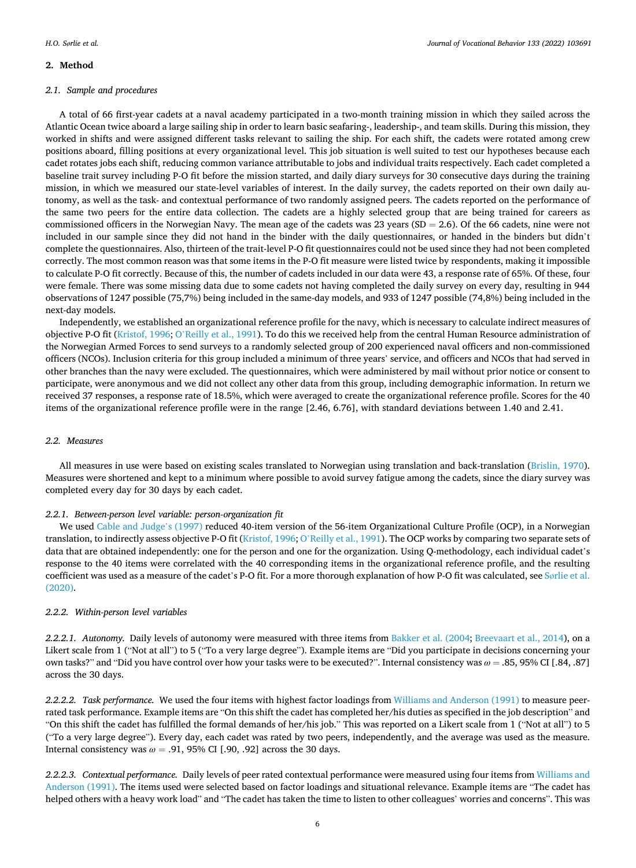#### **2. Method**

#### *2.1. Sample and procedures*

A total of 66 first-year cadets at a naval academy participated in a two-month training mission in which they sailed across the Atlantic Ocean twice aboard a large sailing ship in order to learn basic seafaring-, leadership-, and team skills. During this mission, they worked in shifts and were assigned different tasks relevant to sailing the ship. For each shift, the cadets were rotated among crew positions aboard, filling positions at every organizational level. This job situation is well suited to test our hypotheses because each cadet rotates jobs each shift, reducing common variance attributable to jobs and individual traits respectively. Each cadet completed a baseline trait survey including P-O fit before the mission started, and daily diary surveys for 30 consecutive days during the training mission, in which we measured our state-level variables of interest. In the daily survey, the cadets reported on their own daily autonomy, as well as the task- and contextual performance of two randomly assigned peers. The cadets reported on the performance of the same two peers for the entire data collection. The cadets are a highly selected group that are being trained for careers as commissioned officers in the Norwegian Navy. The mean age of the cadets was 23 years ( $SD = 2.6$ ). Of the 66 cadets, nine were not included in our sample since they did not hand in the binder with the daily questionnaires, or handed in the binders but didn't complete the questionnaires. Also, thirteen of the trait-level P-O fit questionnaires could not be used since they had not been completed correctly. The most common reason was that some items in the P-O fit measure were listed twice by respondents, making it impossible to calculate P-O fit correctly. Because of this, the number of cadets included in our data were 43, a response rate of 65%. Of these, four were female. There was some missing data due to some cadets not having completed the daily survey on every day, resulting in 944 observations of 1247 possible (75,7%) being included in the same-day models, and 933 of 1247 possible (74,8%) being included in the next-day models.

Independently, we established an organizational reference profile for the navy, which is necessary to calculate indirect measures of objective P-O fit [\(Kristof, 1996;](#page-13-0) O'[Reilly et al., 1991](#page-14-0)). To do this we received help from the central Human Resource administration of the Norwegian Armed Forces to send surveys to a randomly selected group of 200 experienced naval officers and non-commissioned officers (NCOs). Inclusion criteria for this group included a minimum of three years' service, and officers and NCOs that had served in other branches than the navy were excluded. The questionnaires, which were administered by mail without prior notice or consent to participate, were anonymous and we did not collect any other data from this group, including demographic information. In return we received 37 responses, a response rate of 18.5%, which were averaged to create the organizational reference profile. Scores for the 40 items of the organizational reference profile were in the range [2.46, 6.76], with standard deviations between 1.40 and 2.41.

## *2.2. Measures*

All measures in use were based on existing scales translated to Norwegian using translation and back-translation ([Brislin, 1970](#page-12-0)). Measures were shortened and kept to a minimum where possible to avoid survey fatigue among the cadets, since the diary survey was completed every day for 30 days by each cadet.

#### *2.2.1. Between-person level variable: person-organization fit*

We used [Cable and Judge](#page-12-0)'s (1997) reduced 40-item version of the 56-item Organizational Culture Profile (OCP), in a Norwegian translation, to indirectly assess objective P-O fit [\(Kristof, 1996](#page-13-0); O'[Reilly et al., 1991\)](#page-14-0). The OCP works by comparing two separate sets of data that are obtained independently: one for the person and one for the organization. Using Q-methodology, each individual cadet's response to the 40 items were correlated with the 40 corresponding items in the organizational reference profile, and the resulting coefficient was used as a measure of the cadet's P-O fit. For a more thorough explanation of how P-O fit was calculated, see Sø[rlie et al.](#page-14-0) [\(2020\).](#page-14-0)

### *2.2.2. Within-person level variables*

*2.2.2.1. Autonomy.* Daily levels of autonomy were measured with three items from [Bakker et al. \(2004](#page-12-0); [Breevaart et al., 2014\)](#page-12-0), on a Likert scale from 1 ("Not at all") to 5 ("To a very large degree"). Example items are "Did you participate in decisions concerning your own tasks?" and "Did you have control over how your tasks were to be executed?". Internal consistency was *ω* = .85, 95% CI [.84, .87] across the 30 days.

*2.2.2.2. Task performance.* We used the four items with highest factor loadings from [Williams and Anderson \(1991\)](#page-14-0) to measure peerrated task performance. Example items are "On this shift the cadet has completed her/his duties as specified in the job description" and "On this shift the cadet has fulfilled the formal demands of her/his job." This was reported on a Likert scale from 1 ("Not at all") to 5 ("To a very large degree"). Every day, each cadet was rated by two peers, independently, and the average was used as the measure. Internal consistency was  $\omega = .91$ , 95% CI [.90, .92] across the 30 days.

*2.2.2.3. Contextual performance.* Daily levels of peer rated contextual performance were measured using four items from [Williams and](#page-14-0) [Anderson \(1991\)](#page-14-0). The items used were selected based on factor loadings and situational relevance. Example items are "The cadet has helped others with a heavy work load" and "The cadet has taken the time to listen to other colleagues' worries and concerns". This was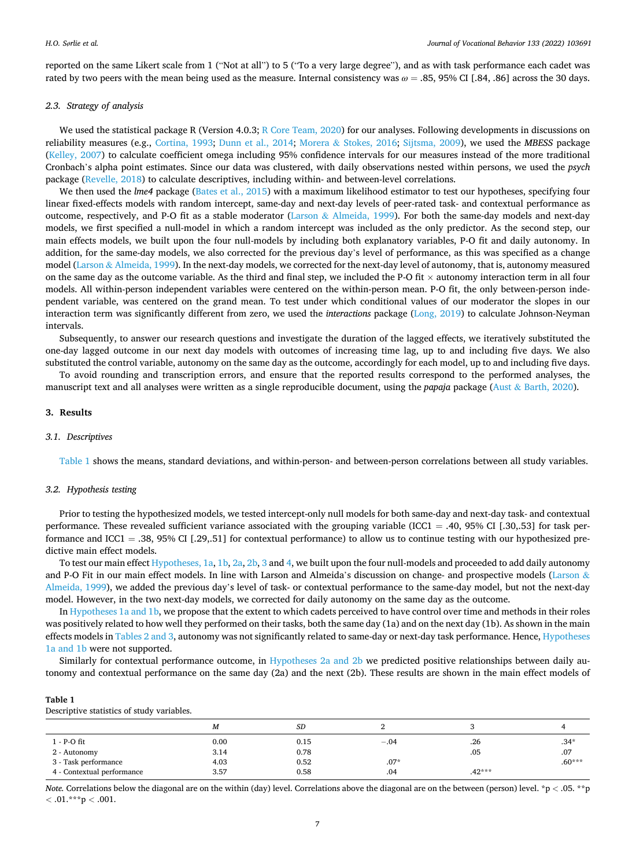reported on the same Likert scale from 1 ("Not at all") to 5 ("To a very large degree"), and as with task performance each cadet was rated by two peers with the mean being used as the measure. Internal consistency was *ω* = .85, 95% CI [.84, .86] across the 30 days.

## *2.3. Strategy of analysis*

We used the statistical package R (Version 4.0.3; [R Core Team, 2020](#page-14-0)) for our analyses. Following developments in discussions on reliability measures (e.g., [Cortina, 1993](#page-13-0); [Dunn et al., 2014](#page-13-0); Morera & [Stokes, 2016](#page-13-0); [Sijtsma, 2009](#page-14-0)), we used the *MBESS* package [\(Kelley, 2007\)](#page-13-0) to calculate coefficient omega including 95% confidence intervals for our measures instead of the more traditional Cronbach's alpha point estimates. Since our data was clustered, with daily observations nested within persons, we used the *psych*  package [\(Revelle, 2018](#page-14-0)) to calculate descriptives, including within- and between-level correlations.

We then used the *lme4* package ([Bates et al., 2015\)](#page-12-0) with a maximum likelihood estimator to test our hypotheses, specifying four linear fixed-effects models with random intercept, same-day and next-day levels of peer-rated task- and contextual performance as outcome, respectively, and P-O fit as a stable moderator (Larson & [Almeida, 1999\)](#page-13-0). For both the same-day models and next-day models, we first specified a null-model in which a random intercept was included as the only predictor. As the second step, our main effects models, we built upon the four null-models by including both explanatory variables, P-O fit and daily autonomy. In addition, for the same-day models, we also corrected for the previous day's level of performance, as this was specified as a change model (Larson & [Almeida, 1999\)](#page-13-0). In the next-day models, we corrected for the next-day level of autonomy, that is, autonomy measured on the same day as the outcome variable. As the third and final step, we included the P-O fit  $\times$  autonomy interaction term in all four models. All within-person independent variables were centered on the within-person mean. P-O fit, the only between-person independent variable, was centered on the grand mean. To test under which conditional values of our moderator the slopes in our interaction term was significantly different from zero, we used the *interactions* package ([Long, 2019\)](#page-13-0) to calculate Johnson-Neyman intervals.

Subsequently, to answer our research questions and investigate the duration of the lagged effects, we iteratively substituted the one-day lagged outcome in our next day models with outcomes of increasing time lag, up to and including five days. We also substituted the control variable, autonomy on the same day as the outcome, accordingly for each model, up to and including five days.

To avoid rounding and transcription errors, and ensure that the reported results correspond to the performed analyses, the manuscript text and all analyses were written as a single reproducible document, using the *papaja* package (Aust & [Barth, 2020\)](#page-12-0).

#### **3. Results**

# *3.1. Descriptives*

Table 1 shows the means, standard deviations, and within-person- and between-person correlations between all study variables.

#### *3.2. Hypothesis testing*

Prior to testing the hypothesized models, we tested intercept-only null models for both same-day and next-day task- and contextual performance. These revealed sufficient variance associated with the grouping variable (ICC1 = .40, 95% CI [.30,.53] for task performance and ICC1 = .38, 95% CI [.29,.51] for contextual performance) to allow us to continue testing with our hypothesized predictive main effect models.

To test our main effect [Hypotheses, 1a, 1b](#page-2-0), [2a, 2b](#page-2-0), [3](#page-3-0) and [4,](#page-3-0) we built upon the four null-models and proceeded to add daily autonomy and P-O Fit in our main effect models. In line with Larson and Almeida's discussion on change- and prospective models ([Larson](#page-13-0) & [Almeida, 1999](#page-13-0)), we added the previous day's level of task- or contextual performance to the same-day model, but not the next-day model. However, in the two next-day models, we corrected for daily autonomy on the same day as the outcome.

In [Hypotheses 1a and 1b](#page-2-0), we propose that the extent to which cadets perceived to have control over time and methods in their roles was positively related to how well they performed on their tasks, both the same day (1a) and on the next day (1b). As shown in the main effects models in [Tables 2 and 3,](#page-7-0) autonomy was not significantly related to same-day or next-day task performance. Hence, [Hypotheses](#page-2-0) [1a and 1b](#page-2-0) were not supported.

Similarly for contextual performance outcome, in [Hypotheses 2a and 2b](#page-2-0) we predicted positive relationships between daily autonomy and contextual performance on the same day (2a) and the next (2b). These results are shown in the main effect models of

#### **Table 1**

| Descriptive statistics of study variables. |  |  |  |
|--------------------------------------------|--|--|--|
|--------------------------------------------|--|--|--|

|                            | M    | SD   |        |          |          |
|----------------------------|------|------|--------|----------|----------|
| 1 - P-O fit                | 0.00 | 0.15 | $-.04$ | .26      | $.34*$   |
| 2 - Autonomy               | 3.14 | 0.78 |        | .05      | .07      |
| 3 - Task performance       | 4.03 | 0.52 | $.07*$ |          | $.60***$ |
| 4 - Contextual performance | 3.57 | 0.58 | .04    | $.42***$ |          |

*Note.* Correlations below the diagonal are on the within (day) level. Correlations above the diagonal are on the between (person) level. \*p < .05. \*\*p *<* .01.\*\*\*p *<* .001.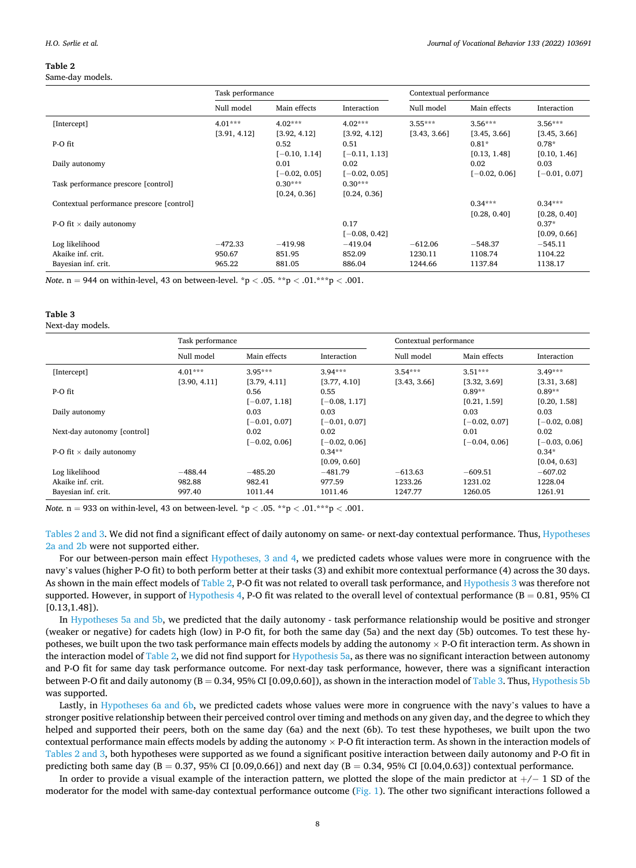#### <span id="page-7-0"></span>**Table 2**

#### Same-day models.

|                                           | Task performance |                 |                 | Contextual performance |                 |                 |
|-------------------------------------------|------------------|-----------------|-----------------|------------------------|-----------------|-----------------|
|                                           | Null model       | Main effects    | Interaction     | Null model             | Main effects    | Interaction     |
| [Intercept]                               | $4.01***$        | $4.02***$       | $4.02***$       | $3.55***$              | $3.56***$       | $3.56***$       |
|                                           | [3.91, 4.12]     | [3.92, 4.12]    | [3.92, 4.12]    | [3.43, 3.66]           | [3.45, 3.66]    | [3.45, 3.66]    |
| P-O fit                                   |                  | 0.52            | 0.51            |                        | $0.81*$         | $0.78*$         |
|                                           |                  | $[-0.10, 1.14]$ | $[-0.11, 1.13]$ |                        | [0.13, 1.48]    | [0.10, 1.46]    |
| Daily autonomy                            |                  | 0.01            | 0.02            |                        | 0.02            | 0.03            |
|                                           |                  | $[-0.02, 0.05]$ | $[-0.02, 0.05]$ |                        | $[-0.02, 0.06]$ | $[-0.01, 0.07]$ |
| Task performance prescore [control]       |                  | $0.30***$       | $0.30***$       |                        |                 |                 |
|                                           |                  | [0.24, 0.36]    | [0.24, 0.36]    |                        |                 |                 |
| Contextual performance prescore [control] |                  |                 |                 |                        | $0.34***$       | $0.34***$       |
|                                           |                  |                 |                 |                        | [0.28, 0.40]    | [0.28, 0.40]    |
| P-O fit $\times$ daily autonomy           |                  |                 | 0.17            |                        |                 | $0.37*$         |
|                                           |                  |                 | $[-0.08, 0.42]$ |                        |                 | [0.09, 0.66]    |
| Log likelihood                            | $-472.33$        | $-419.98$       | $-419.04$       | $-612.06$              | $-548.37$       | $-545.11$       |
| Akaike inf. crit.                         | 950.67           | 851.95          | 852.09          | 1230.11                | 1108.74         | 1104.22         |
| Bayesian inf. crit.                       | 965.22           | 881.05          | 886.04          | 1244.66                | 1137.84         | 1138.17         |

*Note*.  $n = 944$  on within-level, 43 on between-level. \*p < .05. \*\*p < .01.\*\*\*p < .001.

#### **Table 3**

Next-day models.

|                                 | Task performance |                 |                 | Contextual performance |                 |                 |  |
|---------------------------------|------------------|-----------------|-----------------|------------------------|-----------------|-----------------|--|
|                                 | Null model       | Main effects    | Interaction     | Null model             | Main effects    | Interaction     |  |
| [Intercept]                     | $4.01***$        | $3.95***$       | $3.94***$       | $3.54***$              | $3.51***$       | $3.49***$       |  |
|                                 | [3.90, 4.11]     | [3.79, 4.11]    | [3.77, 4.10]    | [3.43, 3.66]           | [3.32, 3.69]    | [3.31, 3.68]    |  |
| P-O fit                         |                  | 0.56            | 0.55            |                        | $0.89**$        | $0.89**$        |  |
|                                 |                  | $[-0.07, 1.18]$ | $[-0.08, 1.17]$ |                        | [0.21, 1.59]    | [0.20, 1.58]    |  |
| Daily autonomy                  |                  | 0.03            | 0.03            |                        | 0.03            | 0.03            |  |
|                                 |                  | $[-0.01, 0.07]$ | $[-0.01, 0.07]$ |                        | $[-0.02, 0.07]$ | $[-0.02, 0.08]$ |  |
| Next-day autonomy [control]     |                  | 0.02            | 0.02            |                        | 0.01            | 0.02            |  |
|                                 |                  | $[-0.02, 0.06]$ | $[-0.02, 0.06]$ |                        | $[-0.04, 0.06]$ | $[-0.03, 0.06]$ |  |
| P-O fit $\times$ daily autonomy |                  |                 | $0.34**$        |                        |                 | $0.34*$         |  |
|                                 |                  |                 | [0.09, 0.60]    |                        |                 | [0.04, 0.63]    |  |
| Log likelihood                  | $-488.44$        | $-485.20$       | $-481.79$       | $-613.63$              | $-609.51$       | $-607.02$       |  |
| Akaike inf. crit.               | 982.88           | 982.41          | 977.59          | 1233.26                | 1231.02         | 1228.04         |  |
| Bayesian inf. crit.             | 997.40           | 1011.44         | 1011.46         | 1247.77                | 1260.05         | 1261.91         |  |

*Note.* n = 933 on within-level, 43 on between-level. \*p *<* .05. \*\*p *<* .01.\*\*\*p *<* .001.

Tables 2 and 3. We did not find a significant effect of daily autonomy on same- or next-day contextual performance. Thus, [Hypotheses](#page-2-0) [2a and 2b](#page-2-0) were not supported either.

For our between-person main effect [Hypotheses, 3 and 4,](#page-3-0) we predicted cadets whose values were more in congruence with the navy's values (higher P-O fit) to both perform better at their tasks (3) and exhibit more contextual performance (4) across the 30 days. As shown in the main effect models of Table 2, P-O fit was not related to overall task performance, and [Hypothesis 3](#page-3-0) was therefore not supported. However, in support of [Hypothesis 4](#page-3-0), P-O fit was related to the overall level of contextual performance  $(B = 0.81, 95\% \text{ CI})$ [0.13,1.48]).

In [Hypotheses 5a and 5b](#page-4-0), we predicted that the daily autonomy - task performance relationship would be positive and stronger (weaker or negative) for cadets high (low) in P-O fit, for both the same day (5a) and the next day (5b) outcomes. To test these hypotheses, we built upon the two task performance main effects models by adding the autonomy  $\times$  P-O fit interaction term. As shown in the interaction model of Table 2, we did not find support for [Hypothesis 5a,](#page-4-0) as there was no significant interaction between autonomy and P-O fit for same day task performance outcome. For next-day task performance, however, there was a significant interaction between P-O fit and daily autonomy (B = 0.34, 95% CI [0.09,0.60]), as shown in the interaction model of Table 3. Thus, [Hypothesis 5b](#page-4-0) was supported.

Lastly, in [Hypotheses 6a and 6b,](#page-4-0) we predicted cadets whose values were more in congruence with the navy's values to have a stronger positive relationship between their perceived control over timing and methods on any given day, and the degree to which they helped and supported their peers, both on the same day (6a) and the next (6b). To test these hypotheses, we built upon the two contextual performance main effects models by adding the autonomy  $\times$  P-O fit interaction term. As shown in the interaction models of Tables 2 and 3, both hypotheses were supported as we found a significant positive interaction between daily autonomy and P-O fit in predicting both same day (B = 0.37, 95% CI [0.09,0.66]) and next day (B = 0.34, 95% CI [0.04,0.63]) contextual performance.

In order to provide a visual example of the interaction pattern, we plotted the slope of the main predictor at +/− 1 SD of the moderator for the model with same-day contextual performance outcome ([Fig. 1\)](#page-8-0). The other two significant interactions followed a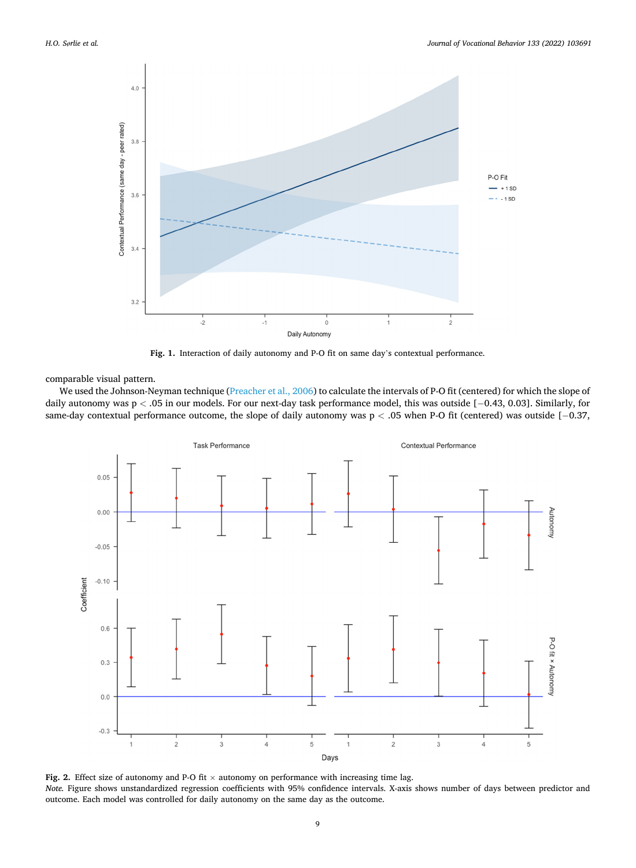<span id="page-8-0"></span>

**Fig. 1.** Interaction of daily autonomy and P-O fit on same day's contextual performance.

comparable visual pattern.

We used the Johnson-Neyman technique ([Preacher et al., 2006](#page-14-0)) to calculate the intervals of P-O fit (centered) for which the slope of daily autonomy was p *<* .05 in our models. For our next-day task performance model, this was outside [− 0.43, 0.03]. Similarly, for same-day contextual performance outcome, the slope of daily autonomy was p < .05 when P-O fit (centered) was outside [−0.37,



Fig. 2. Effect size of autonomy and P-O fit  $\times$  autonomy on performance with increasing time lag. *Note.* Figure shows unstandardized regression coefficients with 95% confidence intervals. X-axis shows number of days between predictor and outcome. Each model was controlled for daily autonomy on the same day as the outcome.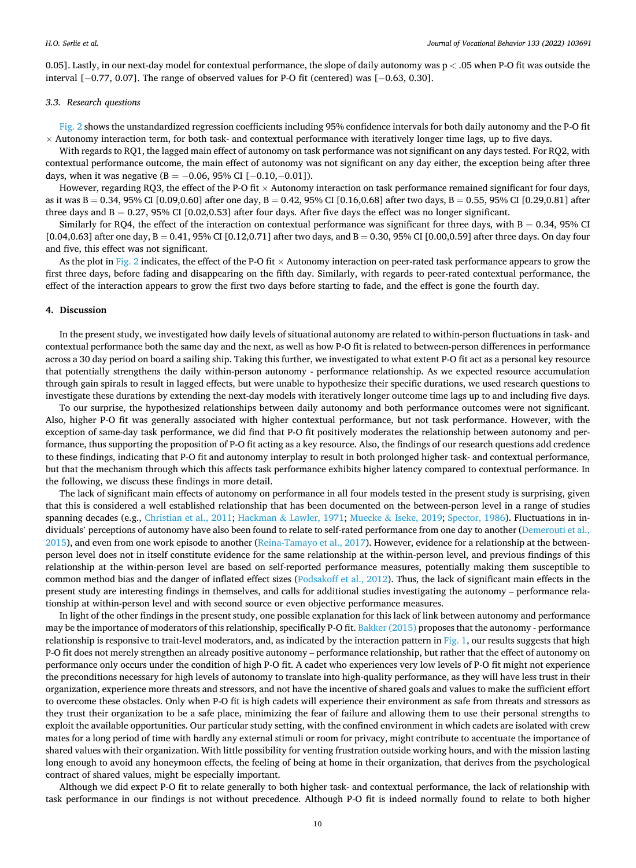0.05]. Lastly, in our next-day model for contextual performance, the slope of daily autonomy was p *<* .05 when P-O fit was outside the interval [− 0.77, 0.07]. The range of observed values for P-O fit (centered) was [− 0.63, 0.30].

#### *3.3. Research questions*

[Fig. 2](#page-8-0) shows the unstandardized regression coefficients including 95% confidence intervals for both daily autonomy and the P-O fit  $\times$  Autonomy interaction term, for both task- and contextual performance with iteratively longer time lags, up to five days.

With regards to RQ1, the lagged main effect of autonomy on task performance was not significant on any days tested. For RQ2, with contextual performance outcome, the main effect of autonomy was not significant on any day either, the exception being after three days, when it was negative (B =  $-0.06$ , 95% CI [ $-0.10$ , $-0.01$ ]).

However, regarding RO3, the effect of the P-O fit  $\times$  Autonomy interaction on task performance remained significant for four days, as it was  $B = 0.34$ , 95% CI [0.09,0.60] after one day,  $B = 0.42$ , 95% CI [0.16,0.68] after two days,  $B = 0.55$ , 95% CI [0.29,0.81] after three days and  $B = 0.27$ , 95% CI [0.02,0.53] after four days. After five days the effect was no longer significant.

Similarly for RQ4, the effect of the interaction on contextual performance was significant for three days, with  $B = 0.34$ , 95% CI [0.04,0.63] after one day,  $B = 0.41$ , 95% CI [0.12,0.71] after two days, and  $B = 0.30$ , 95% CI [0.00,0.59] after three days. On day four and five, this effect was not significant.

As the plot in [Fig. 2](#page-8-0) indicates, the effect of the P-O fit  $\times$  Autonomy interaction on peer-rated task performance appears to grow the first three days, before fading and disappearing on the fifth day. Similarly, with regards to peer-rated contextual performance, the effect of the interaction appears to grow the first two days before starting to fade, and the effect is gone the fourth day.

# **4. Discussion**

In the present study, we investigated how daily levels of situational autonomy are related to within-person fluctuations in task- and contextual performance both the same day and the next, as well as how P-O fit is related to between-person differences in performance across a 30 day period on board a sailing ship. Taking this further, we investigated to what extent P-O fit act as a personal key resource that potentially strengthens the daily within-person autonomy - performance relationship. As we expected resource accumulation through gain spirals to result in lagged effects, but were unable to hypothesize their specific durations, we used research questions to investigate these durations by extending the next-day models with iteratively longer outcome time lags up to and including five days.

To our surprise, the hypothesized relationships between daily autonomy and both performance outcomes were not significant. Also, higher P-O fit was generally associated with higher contextual performance, but not task performance. However, with the exception of same-day task performance, we did find that P-O fit positively moderates the relationship between autonomy and performance, thus supporting the proposition of P-O fit acting as a key resource. Also, the findings of our research questions add credence to these findings, indicating that P-O fit and autonomy interplay to result in both prolonged higher task- and contextual performance, but that the mechanism through which this affects task performance exhibits higher latency compared to contextual performance. In the following, we discuss these findings in more detail.

The lack of significant main effects of autonomy on performance in all four models tested in the present study is surprising, given that this is considered a well established relationship that has been documented on the between-person level in a range of studies spanning decades (e.g., [Christian et al., 2011;](#page-13-0) Hackman & [Lawler, 1971;](#page-13-0) Muecke & [Iseke, 2019;](#page-14-0) [Spector, 1986\)](#page-14-0). Fluctuations in individuals' perceptions of autonomy have also been found to relate to self-rated performance from one day to another [\(Demerouti et al.,](#page-13-0) [2015\)](#page-13-0), and even from one work episode to another ([Reina-Tamayo et al., 2017](#page-14-0)). However, evidence for a relationship at the betweenperson level does not in itself constitute evidence for the same relationship at the within-person level, and previous findings of this relationship at the within-person level are based on self-reported performance measures, potentially making them susceptible to common method bias and the danger of inflated effect sizes [\(Podsakoff et al., 2012\)](#page-14-0). Thus, the lack of significant main effects in the present study are interesting findings in themselves, and calls for additional studies investigating the autonomy – performance relationship at within-person level and with second source or even objective performance measures.

In light of the other findings in the present study, one possible explanation for this lack of link between autonomy and performance may be the importance of moderators of this relationship, specifically P-O fit. [Bakker \(2015\)](#page-12-0) proposes that the autonomy - performance relationship is responsive to trait-level moderators, and, as indicated by the interaction pattern in [Fig. 1,](#page-8-0) our results suggests that high P-O fit does not merely strengthen an already positive autonomy – performance relationship, but rather that the effect of autonomy on performance only occurs under the condition of high P-O fit. A cadet who experiences very low levels of P-O fit might not experience the preconditions necessary for high levels of autonomy to translate into high-quality performance, as they will have less trust in their organization, experience more threats and stressors, and not have the incentive of shared goals and values to make the sufficient effort to overcome these obstacles. Only when P-O fit is high cadets will experience their environment as safe from threats and stressors as they trust their organization to be a safe place, minimizing the fear of failure and allowing them to use their personal strengths to exploit the available opportunities. Our particular study setting, with the confined environment in which cadets are isolated with crew mates for a long period of time with hardly any external stimuli or room for privacy, might contribute to accentuate the importance of shared values with their organization. With little possibility for venting frustration outside working hours, and with the mission lasting long enough to avoid any honeymoon effects, the feeling of being at home in their organization, that derives from the psychological contract of shared values, might be especially important.

Although we did expect P-O fit to relate generally to both higher task- and contextual performance, the lack of relationship with task performance in our findings is not without precedence. Although P-O fit is indeed normally found to relate to both higher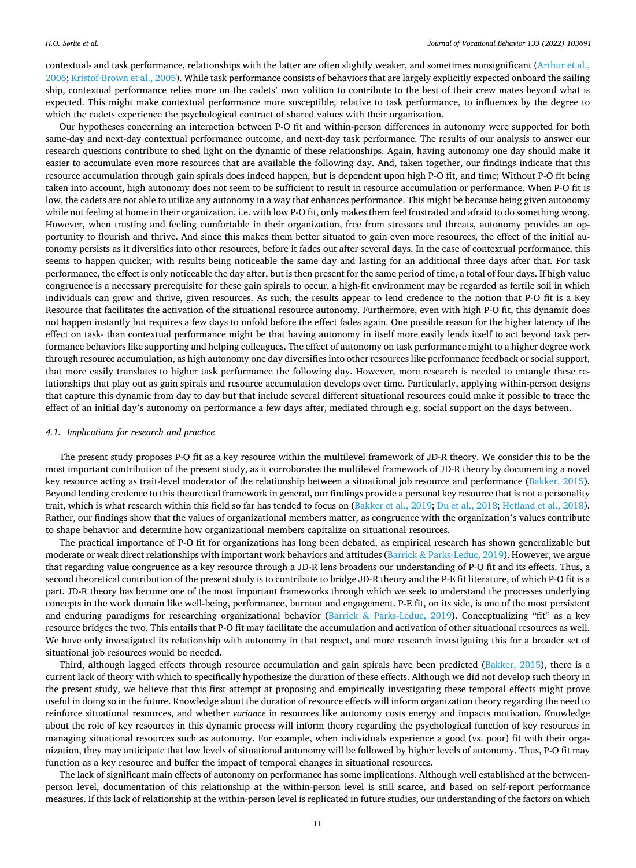contextual- and task performance, relationships with the latter are often slightly weaker, and sometimes nonsignificant [\(Arthur et al.,](#page-12-0) [2006;](#page-12-0) [Kristof-Brown et al., 2005\)](#page-13-0). While task performance consists of behaviors that are largely explicitly expected onboard the sailing ship, contextual performance relies more on the cadets' own volition to contribute to the best of their crew mates beyond what is expected. This might make contextual performance more susceptible, relative to task performance, to influences by the degree to which the cadets experience the psychological contract of shared values with their organization.

Our hypotheses concerning an interaction between P-O fit and within-person differences in autonomy were supported for both same-day and next-day contextual performance outcome, and next-day task performance. The results of our analysis to answer our research questions contribute to shed light on the dynamic of these relationships. Again, having autonomy one day should make it easier to accumulate even more resources that are available the following day. And, taken together, our findings indicate that this resource accumulation through gain spirals does indeed happen, but is dependent upon high P-O fit, and time; Without P-O fit being taken into account, high autonomy does not seem to be sufficient to result in resource accumulation or performance. When P-O fit is low, the cadets are not able to utilize any autonomy in a way that enhances performance. This might be because being given autonomy while not feeling at home in their organization, i.e. with low P-O fit, only makes them feel frustrated and afraid to do something wrong. However, when trusting and feeling comfortable in their organization, free from stressors and threats, autonomy provides an opportunity to flourish and thrive. And since this makes them better situated to gain even more resources, the effect of the initial autonomy persists as it diversifies into other resources, before it fades out after several days. In the case of contextual performance, this seems to happen quicker, with results being noticeable the same day and lasting for an additional three days after that. For task performance, the effect is only noticeable the day after, but is then present for the same period of time, a total of four days. If high value congruence is a necessary prerequisite for these gain spirals to occur, a high-fit environment may be regarded as fertile soil in which individuals can grow and thrive, given resources. As such, the results appear to lend credence to the notion that P-O fit is a Key Resource that facilitates the activation of the situational resource autonomy. Furthermore, even with high P-O fit, this dynamic does not happen instantly but requires a few days to unfold before the effect fades again. One possible reason for the higher latency of the effect on task- than contextual performance might be that having autonomy in itself more easily lends itself to act beyond task performance behaviors like supporting and helping colleagues. The effect of autonomy on task performance might to a higher degree work through resource accumulation, as high autonomy one day diversifies into other resources like performance feedback or social support, that more easily translates to higher task performance the following day. However, more research is needed to entangle these relationships that play out as gain spirals and resource accumulation develops over time. Particularly, applying within-person designs that capture this dynamic from day to day but that include several different situational resources could make it possible to trace the effect of an initial day's autonomy on performance a few days after, mediated through e.g. social support on the days between.

#### *4.1. Implications for research and practice*

The present study proposes P-O fit as a key resource within the multilevel framework of JD-R theory. We consider this to be the most important contribution of the present study, as it corroborates the multilevel framework of JD-R theory by documenting a novel key resource acting as trait-level moderator of the relationship between a situational job resource and performance ([Bakker, 2015](#page-12-0)). Beyond lending credence to this theoretical framework in general, our findings provide a personal key resource that is not a personality trait, which is what research within this field so far has tended to focus on ([Bakker et al., 2019;](#page-12-0) [Du et al., 2018](#page-13-0); [Hetland et al., 2018](#page-13-0)). Rather, our findings show that the values of organizational members matter, as congruence with the organization's values contribute to shape behavior and determine how organizational members capitalize on situational resources.

The practical importance of P-O fit for organizations has long been debated, as empirical research has shown generalizable but moderate or weak direct relationships with important work behaviors and attitudes (Barrick & [Parks-Leduc, 2019](#page-12-0)). However, we argue that regarding value congruence as a key resource through a JD-R lens broadens our understanding of P-O fit and its effects. Thus, a second theoretical contribution of the present study is to contribute to bridge JD-R theory and the P-E fit literature, of which P-O fit is a part. JD-R theory has become one of the most important frameworks through which we seek to understand the processes underlying concepts in the work domain like well-being, performance, burnout and engagement. P-E fit, on its side, is one of the most persistent and enduring paradigms for researching organizational behavior (Barrick & [Parks-Leduc, 2019\)](#page-12-0). Conceptualizing "fit" as a key resource bridges the two. This entails that P-O fit may facilitate the accumulation and activation of other situational resources as well. We have only investigated its relationship with autonomy in that respect, and more research investigating this for a broader set of situational job resources would be needed.

Third, although lagged effects through resource accumulation and gain spirals have been predicted [\(Bakker, 2015](#page-12-0)), there is a current lack of theory with which to specifically hypothesize the duration of these effects. Although we did not develop such theory in the present study, we believe that this first attempt at proposing and empirically investigating these temporal effects might prove useful in doing so in the future. Knowledge about the duration of resource effects will inform organization theory regarding the need to reinforce situational resources, and whether *variance* in resources like autonomy costs energy and impacts motivation. Knowledge about the role of key resources in this dynamic process will inform theory regarding the psychological function of key resources in managing situational resources such as autonomy. For example, when individuals experience a good (vs. poor) fit with their organization, they may anticipate that low levels of situational autonomy will be followed by higher levels of autonomy. Thus, P-O fit may function as a key resource and buffer the impact of temporal changes in situational resources.

The lack of significant main effects of autonomy on performance has some implications. Although well established at the betweenperson level, documentation of this relationship at the within-person level is still scarce, and based on self-report performance measures. If this lack of relationship at the within-person level is replicated in future studies, our understanding of the factors on which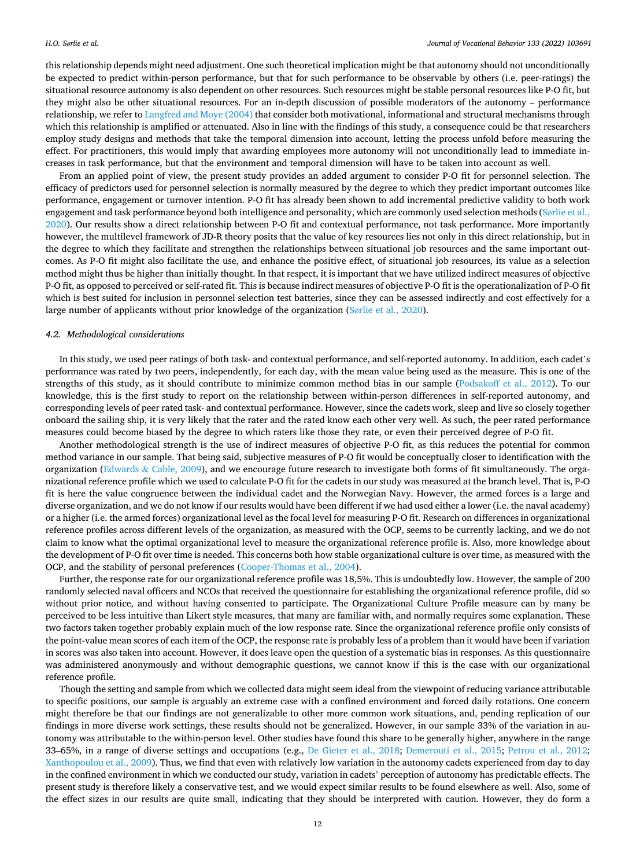this relationship depends might need adjustment. One such theoretical implication might be that autonomy should not unconditionally be expected to predict within-person performance, but that for such performance to be observable by others (i.e. peer-ratings) the situational resource autonomy is also dependent on other resources. Such resources might be stable personal resources like P-O fit, but they might also be other situational resources. For an in-depth discussion of possible moderators of the autonomy – performance relationship, we refer to [Langfred and Moye \(2004\)](#page-13-0) that consider both motivational, informational and structural mechanisms through which this relationship is amplified or attenuated. Also in line with the findings of this study, a consequence could be that researchers employ study designs and methods that take the temporal dimension into account, letting the process unfold before measuring the effect. For practitioners, this would imply that awarding employees more autonomy will not unconditionally lead to immediate increases in task performance, but that the environment and temporal dimension will have to be taken into account as well.

From an applied point of view, the present study provides an added argument to consider P-O fit for personnel selection. The efficacy of predictors used for personnel selection is normally measured by the degree to which they predict important outcomes like performance, engagement or turnover intention. P-O fit has already been shown to add incremental predictive validity to both work engagement and task performance beyond both intelligence and personality, which are commonly used selection methods (Sø[rlie et al.,](#page-14-0) [2020\)](#page-14-0). Our results show a direct relationship between P-O fit and contextual performance, not task performance. More importantly however, the multilevel framework of JD-R theory posits that the value of key resources lies not only in this direct relationship, but in the degree to which they facilitate and strengthen the relationships between situational job resources and the same important outcomes. As P-O fit might also facilitate the use, and enhance the positive effect, of situational job resources, its value as a selection method might thus be higher than initially thought. In that respect, it is important that we have utilized indirect measures of objective P-O fit, as opposed to perceived or self-rated fit. This is because indirect measures of objective P-O fit is the operationalization of P-O fit which is best suited for inclusion in personnel selection test batteries, since they can be assessed indirectly and cost effectively for a large number of applicants without prior knowledge of the organization (Sø[rlie et al., 2020\)](#page-14-0).

#### *4.2. Methodological considerations*

In this study, we used peer ratings of both task- and contextual performance, and self-reported autonomy. In addition, each cadet's performance was rated by two peers, independently, for each day, with the mean value being used as the measure. This is one of the strengths of this study, as it should contribute to minimize common method bias in our sample [\(Podsakoff et al., 2012\)](#page-14-0). To our knowledge, this is the first study to report on the relationship between within-person differences in self-reported autonomy, and corresponding levels of peer rated task- and contextual performance. However, since the cadets work, sleep and live so closely together onboard the sailing ship, it is very likely that the rater and the rated know each other very well. As such, the peer rated performance measures could become biased by the degree to which raters like those they rate, or even their perceived degree of P-O fit.

Another methodological strength is the use of indirect measures of objective P-O fit, as this reduces the potential for common method variance in our sample. That being said, subjective measures of P-O fit would be conceptually closer to identification with the organization (Edwards & [Cable, 2009\)](#page-13-0), and we encourage future research to investigate both forms of fit simultaneously. The organizational reference profile which we used to calculate P-O fit for the cadets in our study was measured at the branch level. That is, P-O fit is here the value congruence between the individual cadet and the Norwegian Navy. However, the armed forces is a large and diverse organization, and we do not know if our results would have been different if we had used either a lower (i.e. the naval academy) or a higher (i.e. the armed forces) organizational level as the focal level for measuring P-O fit. Research on differences in organizational reference profiles across different levels of the organization, as measured with the OCP, seems to be currently lacking, and we do not claim to know what the optimal organizational level to measure the organizational reference profile is. Also, more knowledge about the development of P-O fit over time is needed. This concerns both how stable organizational culture is over time, as measured with the OCP, and the stability of personal preferences [\(Cooper-Thomas et al., 2004](#page-13-0)).

Further, the response rate for our organizational reference profile was 18,5%. This is undoubtedly low. However, the sample of 200 randomly selected naval officers and NCOs that received the questionnaire for establishing the organizational reference profile, did so without prior notice, and without having consented to participate. The Organizational Culture Profile measure can by many be perceived to be less intuitive than Likert style measures, that many are familiar with, and normally requires some explanation. These two factors taken together probably explain much of the low response rate. Since the organizational reference profile only consists of the point-value mean scores of each item of the OCP, the response rate is probably less of a problem than it would have been if variation in scores was also taken into account. However, it does leave open the question of a systematic bias in responses. As this questionnaire was administered anonymously and without demographic questions, we cannot know if this is the case with our organizational reference profile.

Though the setting and sample from which we collected data might seem ideal from the viewpoint of reducing variance attributable to specific positions, our sample is arguably an extreme case with a confined environment and forced daily rotations. One concern might therefore be that our findings are not generalizable to other more common work situations, and, pending replication of our findings in more diverse work settings, these results should not be generalized. However, in our sample 33% of the variation in autonomy was attributable to the within-person level. Other studies have found this share to be generally higher, anywhere in the range 33–65%, in a range of diverse settings and occupations (e.g., [De Gieter et al., 2018](#page-13-0); [Demerouti et al., 2015;](#page-13-0) [Petrou et al., 2012](#page-14-0); [Xanthopoulou et al., 2009\)](#page-14-0). Thus, we find that even with relatively low variation in the autonomy cadets experienced from day to day in the confined environment in which we conducted our study, variation in cadets' perception of autonomy has predictable effects. The present study is therefore likely a conservative test, and we would expect similar results to be found elsewhere as well. Also, some of the effect sizes in our results are quite small, indicating that they should be interpreted with caution. However, they do form a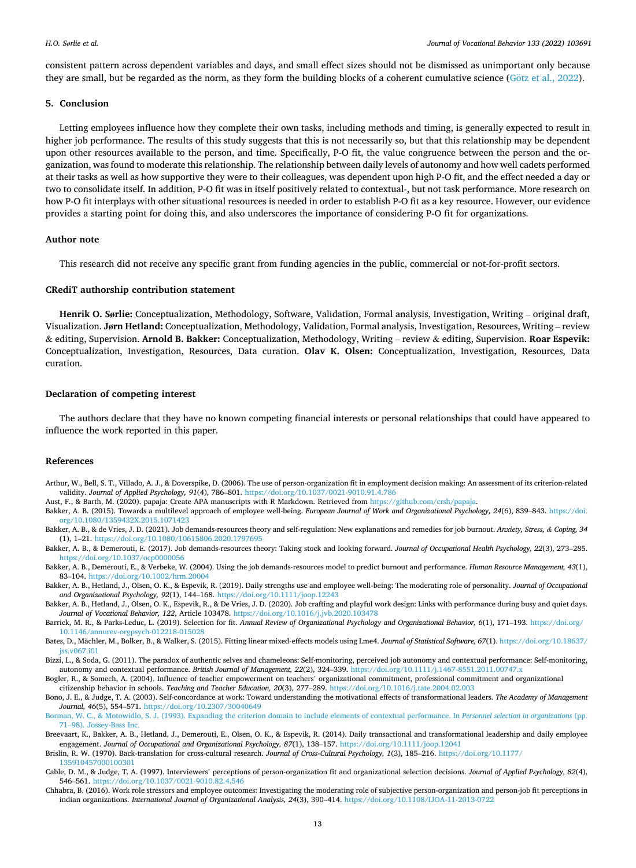<span id="page-12-0"></span>consistent pattern across dependent variables and days, and small effect sizes should not be dismissed as unimportant only because they are small, but be regarded as the norm, as they form the building blocks of a coherent cumulative science (Götz [et al., 2022](#page-13-0)).

# **5. Conclusion**

Letting employees influence how they complete their own tasks, including methods and timing, is generally expected to result in higher job performance. The results of this study suggests that this is not necessarily so, but that this relationship may be dependent upon other resources available to the person, and time. Specifically, P-O fit, the value congruence between the person and the organization, was found to moderate this relationship. The relationship between daily levels of autonomy and how well cadets performed at their tasks as well as how supportive they were to their colleagues, was dependent upon high P-O fit, and the effect needed a day or two to consolidate itself. In addition, P-O fit was in itself positively related to contextual-, but not task performance. More research on how P-O fit interplays with other situational resources is needed in order to establish P-O fit as a key resource. However, our evidence provides a starting point for doing this, and also underscores the importance of considering P-O fit for organizations.

## **Author note**

This research did not receive any specific grant from funding agencies in the public, commercial or not-for-profit sectors.

#### **CRediT authorship contribution statement**

**Henrik O. Sørlie:** Conceptualization, Methodology, Software, Validation, Formal analysis, Investigation, Writing – original draft, Visualization. **Jørn Hetland:** Conceptualization, Methodology, Validation, Formal analysis, Investigation, Resources, Writing – review & editing, Supervision. **Arnold B. Bakker:** Conceptualization, Methodology, Writing – review & editing, Supervision. **Roar Espevik:**  Conceptualization, Investigation, Resources, Data curation. **Olav K. Olsen:** Conceptualization, Investigation, Resources, Data curation.

#### **Declaration of competing interest**

The authors declare that they have no known competing financial interests or personal relationships that could have appeared to influence the work reported in this paper.

# **References**

Arthur, W., Bell, S. T., Villado, A. J., & Doverspike, D. (2006). The use of person-organization fit in employment decision making: An assessment of its criterion-related validity. *Journal of Applied Psychology, 91*(4), 786–801. <https://doi.org/10.1037/0021-9010.91.4.786>

Aust, F., & Barth, M. (2020). papaja: Create APA manuscripts with R Markdown. Retrieved from [https://github.com/crsh/papaja.](https://github.com/crsh/papaja)

- Bakker, A. B. (2015). Towards a multilevel approach of employee well-being. *European Journal of Work and Organizational Psychology, 24*(6), 839–843. [https://doi.](https://doi.org/10.1080/1359432X.2015.1071423) [org/10.1080/1359432X.2015.1071423](https://doi.org/10.1080/1359432X.2015.1071423)
- Bakker, A. B., & de Vries, J. D. (2021). Job demands-resources theory and self-regulation: New explanations and remedies for job burnout. *Anxiety, Stress, & Coping, 34*  (1), 1–21. <https://doi.org/10.1080/10615806.2020.1797695>
- Bakker, A. B., & Demerouti, E. (2017). Job demands-resources theory: Taking stock and looking forward. *Journal of Occupational Health Psychology, 22*(3), 273–285. <https://doi.org/10.1037/ocp0000056>
- Bakker, A. B., Demerouti, E., & Verbeke, W. (2004). Using the job demands-resources model to predict burnout and performance. *Human Resource Management, 43*(1), 83–104. <https://doi.org/10.1002/hrm.20004>
- Bakker, A. B., Hetland, J., Olsen, O. K., & Espevik, R. (2019). Daily strengths use and employee well-being: The moderating role of personality. *Journal of Occupational and Organizational Psychology, 92*(1), 144–168. <https://doi.org/10.1111/joop.12243>
- Bakker, A. B., Hetland, J., Olsen, O. K., Espevik, R., & De Vries, J. D. (2020). Job crafting and playful work design: Links with performance during busy and quiet days. *Journal of Vocational Behavior, 122*, Article 103478. <https://doi.org/10.1016/j.jvb.2020.103478>
- Barrick, M. R., & Parks-Leduc, L. (2019). Selection for fit. *Annual Review of Organizational Psychology and Organizational Behavior, 6*(1), 171–193. [https://doi.org/](https://doi.org/10.1146/annurev-orgpsych-012218-015028)  [10.1146/annurev-orgpsych-012218-015028](https://doi.org/10.1146/annurev-orgpsych-012218-015028)
- Bates, D., Mächler, M., Bolker, B., & Walker, S. (2015). Fitting linear mixed-effects models using Lme4. *Journal of Statistical Software, 67*(1). [https://doi.org/10.18637/](https://doi.org/10.18637/jss.v067.i01) [jss.v067.i01](https://doi.org/10.18637/jss.v067.i01)
- Bizzi, L., & Soda, G. (2011). The paradox of authentic selves and chameleons: Self-monitoring, perceived job autonomy and contextual performance: Self-monitoring, autonomy and contextual performance. *British Journal of Management, 22*(2), 324–339.<https://doi.org/10.1111/j.1467-8551.2011.00747.x>
- Bogler, R., & Somech, A. (2004). Influence of teacher empowerment on teachers' organizational commitment, professional commitment and organizational
- citizenship behavior in schools. *Teaching and Teacher Education, 20*(3), 277–289.<https://doi.org/10.1016/j.tate.2004.02.003> Bono, J. E., & Judge, T. A. (2003). Self-concordance at work: Toward understanding the motivational effects of transformational leaders. *The Academy of Management Journal, 46*(5), 554–571. <https://doi.org/10.2307/30040649>
- [Borman, W. C., & Motowidlo, S. J. \(1993\). Expanding the criterion domain to include elements of contextual performance. In](http://refhub.elsevier.com/S0001-8791(22)00002-1/rf202201220030337201) *Personnel selection in organizations* (pp. 71–[98\). Jossey-Bass Inc.](http://refhub.elsevier.com/S0001-8791(22)00002-1/rf202201220030337201)
- Breevaart, K., Bakker, A. B., Hetland, J., Demerouti, E., Olsen, O. K., & Espevik, R. (2014). Daily transactional and transformational leadership and daily employee engagement. *Journal of Occupational and Organizational Psychology, 87*(1), 138–157. <https://doi.org/10.1111/joop.12041>
- Brislin, R. W. (1970). Back-translation for cross-cultural research. *Journal of Cross-Cultural Psychology, 1*(3), 185–216. [https://doi.org/10.1177/](https://doi.org/10.1177/135910457000100301)  [135910457000100301](https://doi.org/10.1177/135910457000100301)
- Cable, D. M., & Judge, T. A. (1997). Interviewers' perceptions of person-organization fit and organizational selection decisions. *Journal of Applied Psychology, 82*(4), 546–561. <https://doi.org/10.1037/0021-9010.82.4.546>
- Chhabra, B. (2016). Work role stressors and employee outcomes: Investigating the moderating role of subjective person-organization and person-job fit perceptions in indian organizations. *International Journal of Organizational Analysis, 24*(3), 390–414. <https://doi.org/10.1108/IJOA-11-2013-0722>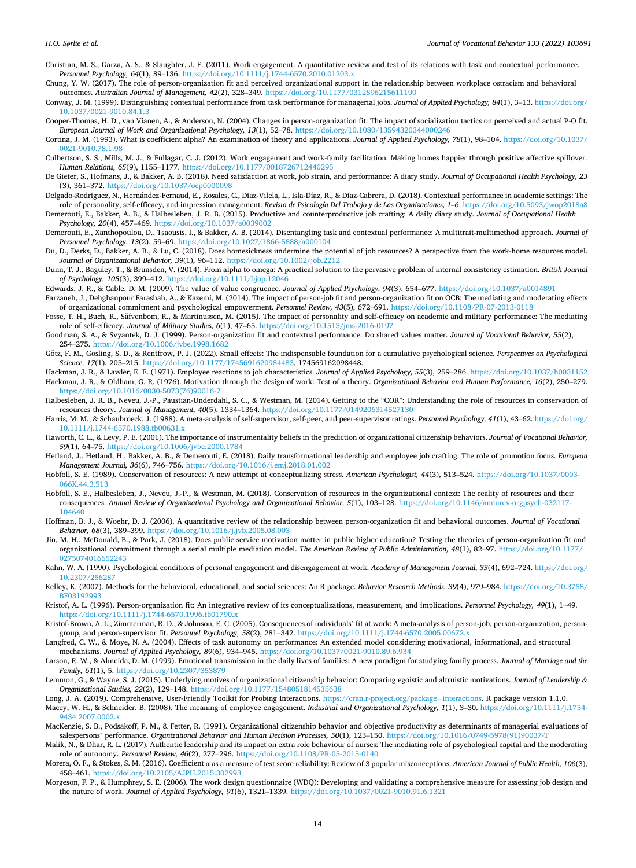- <span id="page-13-0"></span>Christian, M. S., Garza, A. S., & Slaughter, J. E. (2011). Work engagement: A quantitative review and test of its relations with task and contextual performance. *Personnel Psychology, 64*(1), 89–136.<https://doi.org/10.1111/j.1744-6570.2010.01203.x>
- Chung, Y. W. (2017). The role of person-organization fit and perceived organizational support in the relationship between workplace ostracism and behavioral outcomes. *Australian Journal of Management, 42*(2), 328–349.<https://doi.org/10.1177/0312896215611190>
- Conway, J. M. (1999). Distinguishing contextual performance from task performance for managerial jobs. *Journal of Applied Psychology, 84*(1), 3–13. [https://doi.org/](https://doi.org/10.1037/0021-9010.84.1.3) [10.1037/0021-9010.84.1.3](https://doi.org/10.1037/0021-9010.84.1.3)
- Cooper-Thomas, H. D., van Vianen, A., & Anderson, N. (2004). Changes in person-organization fit: The impact of socialization tactics on perceived and actual P-O fit. *European Journal of Work and Organizational Psychology, 13*(1), 52–78. <https://doi.org/10.1080/13594320344000246>
- Cortina, J. M. (1993). What is coefficient alpha? An examination of theory and applications. *Journal of Applied Psychology, 78*(1), 98–104. [https://doi.org/10.1037/](https://doi.org/10.1037/0021-9010.78.1.98) [0021-9010.78.1.98](https://doi.org/10.1037/0021-9010.78.1.98)
- Culbertson, S. S., Mills, M. J., & Fullagar, C. J. (2012). Work engagement and work-family facilitation: Making homes happier through positive affective spillover. *Human Relations, 65*(9), 1155–1177. <https://doi.org/10.1177/0018726712440295>
- De Gieter, S., Hofmans, J., & Bakker, A. B. (2018). Need satisfaction at work, job strain, and performance: A diary study. *Journal of Occupational Health Psychology, 23*  (3), 361–372. <https://doi.org/10.1037/ocp0000098>
- Delgado-Rodríguez, N., Hernández-Fernaud, E., Rosales, C., Díaz-Vilela, L., Isla-Díaz, R., & Díaz-Cabrera, D. (2018). Contextual performance in academic settings: The role of personality, self-efficacy, and impression management. *Revista de Psicología Del Trabajo y de Las Organizaciones, 1*–*6*.<https://doi.org/10.5093/jwop2018a8>
- Demerouti, E., Bakker, A. B., & Halbesleben, J. R. B. (2015). Productive and counterproductive job crafting: A daily diary study. *Journal of Occupational Health Psychology, 20*(4), 457–469.<https://doi.org/10.1037/a0039002>
- Demerouti, E., Xanthopoulou, D., Tsaousis, I., & Bakker, A. B. (2014). Disentangling task and contextual performance: A multitrait-multimethod approach. *Journal of*  Personnel Psychology, 13(2), 59-69. https://doi.org/10.1027/1866-5888/a00010-
- Du, D., Derks, D., Bakker, A. B., & Lu, C. (2018). Does homesickness undermine the potential of job resources? A perspective from the work-home resources model. *Journal of Organizational Behavior, 39*(1), 96–112.<https://doi.org/10.1002/job.2212>
- Dunn, T. J., Baguley, T., & Brunsden, V. (2014). From alpha to omega: A practical solution to the pervasive problem of internal consistency estimation. *British Journal of Psychology, 105*(3), 399–412. <https://doi.org/10.1111/bjop.12046>
- Edwards, J. R., & Cable, D. M. (2009). The value of value congruence. *Journal of Applied Psychology, 94*(3), 654–677. <https://doi.org/10.1037/a0014891> Farzaneh, J., Dehghanpour Farashah, A., & Kazemi, M. (2014). The impact of person-job fit and person-organization fit on OCB: The mediating and moderating effects
- of organizational commitment and psychological empowerment. *Personnel Review, 43*(5), 672–691. <https://doi.org/10.1108/PR-07-2013-0118>
- Fosse, T. H., Buch, R., Säfvenbom, R., & Martinussen, M. (2015). The impact of personality and self-efficacy on academic and military performance: The mediating role of self-efficacy. *Journal of Military Studies, 6*(1), 47–65.<https://doi.org/10.1515/jms-2016-0197>
- Goodman, S. A., & Svyantek, D. J. (1999). Person-organization fit and contextual performance: Do shared values matter. *Journal of Vocational Behavior, 55*(2), 254–275. <https://doi.org/10.1006/jvbe.1998.1682>
- Götz, F. M., Gosling, S. D., & Rentfrow, P. J. (2022). Small effects: The indispensable foundation for a cumulative psychological science. *Perspectives on Psychological Science, 17*(1), 205–215. [https://doi.org/10.1177/1745691620984483,](https://doi.org/10.1177/1745691620984483) 174569162098448.
- Hackman, J. R., & Lawler, E. E. (1971). Employee reactions to job characteristics. *Journal of Applied Psychology, 55*(3), 259–286. <https://doi.org/10.1037/h0031152> Hackman, J. R., & Oldham, G. R. (1976). Motivation through the design of work: Test of a theory. *Organizational Behavior and Human Performance, 16*(2), 250–279. [https://doi.org/10.1016/0030-5073\(76\)90016-7](https://doi.org/10.1016/0030-5073(76)90016-7)
- Halbesleben, J. R. B., Neveu, J.-P., Paustian-Underdahl, S. C., & Westman, M. (2014). Getting to the "COR": Understanding the role of resources in conservation of resources theory. *Journal of Management, 40*(5), 1334–1364. <https://doi.org/10.1177/0149206314527130>
- Harris, M. M., & Schaubroeck, J. (1988). A meta-analysis of self-supervisor, self-peer, and peer-supervisor ratings. *Personnel Psychology, 41*(1), 43–62. [https://doi.org/](https://doi.org/10.1111/j.1744-6570.1988.tb00631.x) [10.1111/j.1744-6570.1988.tb00631.x](https://doi.org/10.1111/j.1744-6570.1988.tb00631.x)
- Haworth, C. L., & Levy, P. E. (2001). The importance of instrumentality beliefs in the prediction of organizational citizenship behaviors. *Journal of Vocational Behavior, 59*(1), 64–75. <https://doi.org/10.1006/jvbe.2000.1784>
- Hetland, J., Hetland, H., Bakker, A. B., & Demerouti, E. (2018). Daily transformational leadership and employee job crafting: The role of promotion focus. *European Management Journal, 36*(6), 746–756.<https://doi.org/10.1016/j.emj.2018.01.002>
- Hobfoll, S. E. (1989). Conservation of resources: A new attempt at conceptualizing stress. *American Psychologist, 44*(3), 513–524. [https://doi.org/10.1037/0003-](https://doi.org/10.1037/0003-066X.44.3.513)  066Y 44.3.513
- Hobfoll, S. E., Halbesleben, J., Neveu, J.-P., & Westman, M. (2018). Conservation of resources in the organizational context: The reality of resources and their consequences. *Annual Review of Organizational Psychology and Organizational Behavior, 5*(1), 103–128. [https://doi.org/10.1146/annurev-orgpsych-032117-](https://doi.org/10.1146/annurev-orgpsych-032117-104640)  [104640](https://doi.org/10.1146/annurev-orgpsych-032117-104640)
- Hoffman, B. J., & Woehr, D. J. (2006). A quantitative review of the relationship between person-organization fit and behavioral outcomes. *Journal of Vocational Behavior, 68*(3), 389–399.<https://doi.org/10.1016/j.jvb.2005.08.003>
- Jin, M. H., McDonald, B., & Park, J. (2018). Does public service motivation matter in public higher education? Testing the theories of person-organization fit and organizational commitment through a serial multiple mediation model. *The American Review of Public Administration, 48*(1), 82–97. [https://doi.org/10.1177/](https://doi.org/10.1177/0275074016652243)  [0275074016652243](https://doi.org/10.1177/0275074016652243)
- Kahn, W. A. (1990). Psychological conditions of personal engagement and disengagement at work. *Academy of Management Journal, 33*(4), 692–724. [https://doi.org/](https://doi.org/10.2307/256287) [10.2307/256287](https://doi.org/10.2307/256287)
- Kelley, K. (2007). Methods for the behavioral, educational, and social sciences: An R package. *Behavior Research Methods, 39*(4), 979–984. [https://doi.org/10.3758/](https://doi.org/10.3758/BF03192993) [BF03192993](https://doi.org/10.3758/BF03192993)
- Kristof, A. L. (1996). Person-organization fit: An integrative review of its conceptualizations, measurement, and implications. *Personnel Psychology, 49*(1), 1–49. <https://doi.org/10.1111/j.1744-6570.1996.tb01790.x>
- Kristof-Brown, A. L., Zimmerman, R. D., & Johnson, E. C. (2005). Consequences of individuals' fit at work: A meta-analysis of person-job, person-organization, persongroup, and person-supervisor fit. *Personnel Psychology, 58*(2), 281-342. https://doi.org/10.1111/j.1744-6570.2005.00672.
- Langfred, C. W., & Moye, N. A. (2004). Effects of task autonomy on performance: An extended model considering motivational, informational, and structural mechanisms. *Journal of Applied Psychology, 89*(6), 934–945. <https://doi.org/10.1037/0021-9010.89.6.934>
- Larson, R. W., & Almeida, D. M. (1999). Emotional transmission in the daily lives of families: A new paradigm for studying family process. *Journal of Marriage and the Family, 61*(1), 5. <https://doi.org/10.2307/353879>
- Lemmon, G., & Wayne, S. J. (2015). Underlying motives of organizational citizenship behavior: Comparing egoistic and altruistic motivations. *Journal of Leadership & Organizational Studies, 22*(2), 129–148.<https://doi.org/10.1177/1548051814535638>
- Long, J. A. (2019). Comprehensive, User-Friendly Toolkit for Probing Interactions. [https://cran.r-project.org/package](https://cran.r-project.org/package=interactions)=interactions. R package version 1.1.0.
- Macey, W. H., & Schneider, B. (2008). The meaning of employee engagement. *Industrial and Organizational Psychology, 1*(1), 3–30. [https://doi.org/10.1111/j.1754-](https://doi.org/10.1111/j.1754-9434.2007.0002.x) 0434.2007.0002.
- MacKenzie, S. B., Podsakoff, P. M., & Fetter, R. (1991). Organizational citizenship behavior and objective productivity as determinants of managerial evaluations of salespersons' performance. *Organizational Behavior and Human Decision Processes*, 50(1), 123-150. https://doi.org/10.1016/0749-5978(91)90037-1
- Malik, N., & Dhar, R. L. (2017). Authentic leadership and its impact on extra role behaviour of nurses: The mediating role of psychological capital and the moderating role of autonomy. *Personnel Review, 46*(2), 277–296.<https://doi.org/10.1108/PR-05-2015-0140>
- Morera, O. F., & Stokes, S. M. (2016). Coefficient α as a measure of test score reliability: Review of 3 popular misconceptions. *American Journal of Public Health, 106*(3), 458–461. <https://doi.org/10.2105/AJPH.2015.302993>
- Morgeson, F. P., & Humphrey, S. E. (2006). The work design questionnaire (WDQ): Developing and validating a comprehensive measure for assessing job design and the nature of work. *Journal of Applied Psychology, 91*(6), 1321–1339. <https://doi.org/10.1037/0021-9010.91.6.1321>